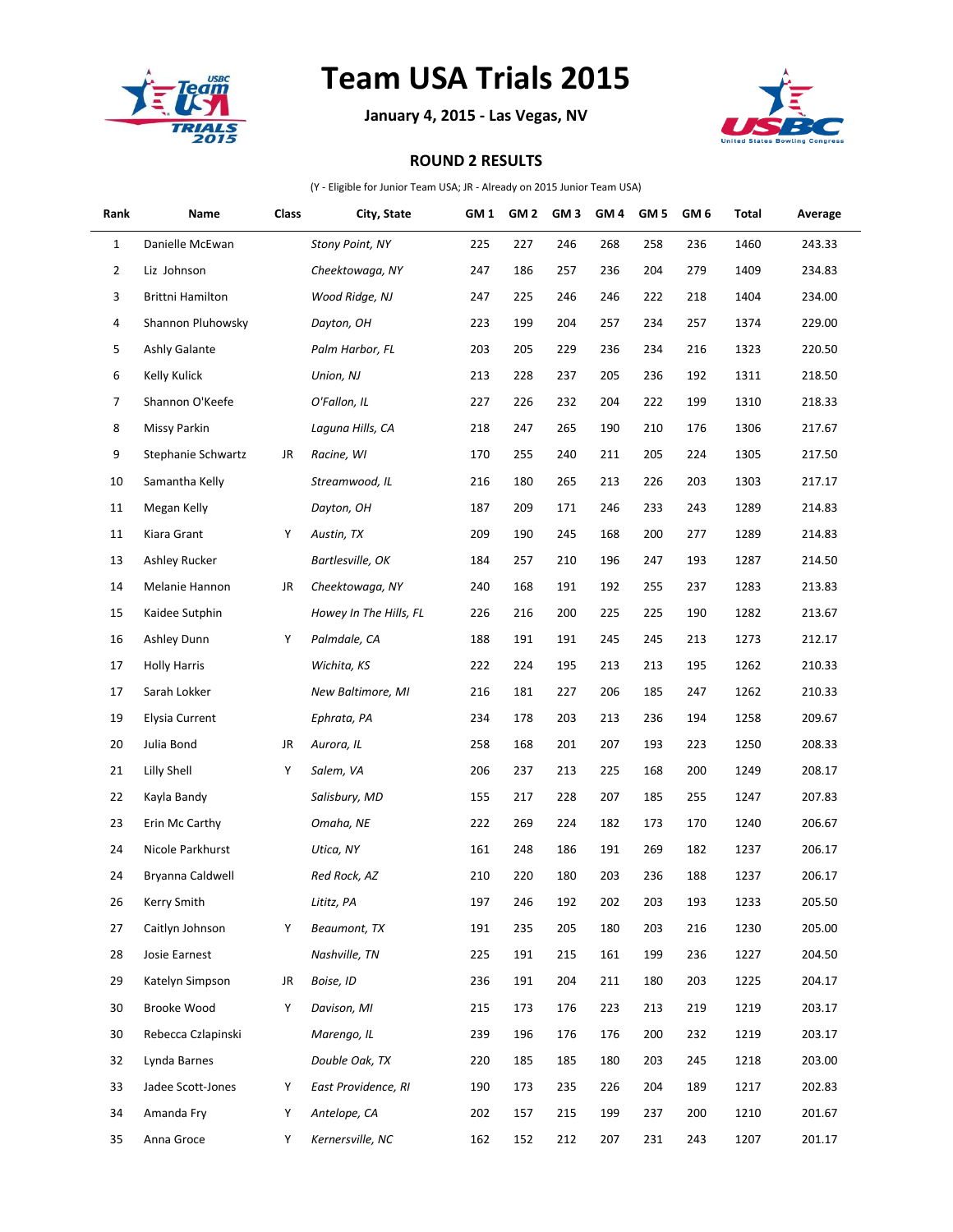

## **Team USA Trials 2015**

**January 4, 2015 - Las Vegas, NV**



## **ROUND 2 RESULTS**

(Y - Eligible for Junior Team USA; JR - Already on 2015 Junior Team USA)

| Rank           | Name                | Class | City, State            | GM <sub>1</sub> | GM <sub>2</sub> | GM <sub>3</sub> | GM <sub>4</sub> | GM <sub>5</sub> | GM 6 | Total | Average |
|----------------|---------------------|-------|------------------------|-----------------|-----------------|-----------------|-----------------|-----------------|------|-------|---------|
| $\mathbf{1}$   | Danielle McEwan     |       | <b>Stony Point, NY</b> | 225             | 227             | 246             | 268             | 258             | 236  | 1460  | 243.33  |
| $\overline{2}$ | Liz Johnson         |       | Cheektowaga, NY        | 247             | 186             | 257             | 236             | 204             | 279  | 1409  | 234.83  |
| 3              | Brittni Hamilton    |       | Wood Ridge, NJ         | 247             | 225             | 246             | 246             | 222             | 218  | 1404  | 234.00  |
| 4              | Shannon Pluhowsky   |       | Dayton, OH             | 223             | 199             | 204             | 257             | 234             | 257  | 1374  | 229.00  |
| 5              | Ashly Galante       |       | Palm Harbor, FL        | 203             | 205             | 229             | 236             | 234             | 216  | 1323  | 220.50  |
| 6              | Kelly Kulick        |       | Union, NJ              | 213             | 228             | 237             | 205             | 236             | 192  | 1311  | 218.50  |
| 7              | Shannon O'Keefe     |       | O'Fallon, IL           | 227             | 226             | 232             | 204             | 222             | 199  | 1310  | 218.33  |
| 8              | <b>Missy Parkin</b> |       | Laguna Hills, CA       | 218             | 247             | 265             | 190             | 210             | 176  | 1306  | 217.67  |
| 9              | Stephanie Schwartz  | JR    | Racine, WI             | 170             | 255             | 240             | 211             | 205             | 224  | 1305  | 217.50  |
| 10             | Samantha Kelly      |       | Streamwood, IL         | 216             | 180             | 265             | 213             | 226             | 203  | 1303  | 217.17  |
| 11             | Megan Kelly         |       | Dayton, OH             | 187             | 209             | 171             | 246             | 233             | 243  | 1289  | 214.83  |
| 11             | Kiara Grant         | Υ     | Austin, TX             | 209             | 190             | 245             | 168             | 200             | 277  | 1289  | 214.83  |
| 13             | Ashley Rucker       |       | Bartlesville, OK       | 184             | 257             | 210             | 196             | 247             | 193  | 1287  | 214.50  |
| 14             | Melanie Hannon      | JR    | Cheektowaga, NY        | 240             | 168             | 191             | 192             | 255             | 237  | 1283  | 213.83  |
| 15             | Kaidee Sutphin      |       | Howey In The Hills, FL | 226             | 216             | 200             | 225             | 225             | 190  | 1282  | 213.67  |
| 16             | Ashley Dunn         | Υ     | Palmdale, CA           | 188             | 191             | 191             | 245             | 245             | 213  | 1273  | 212.17  |
| 17             | <b>Holly Harris</b> |       | Wichita, KS            | 222             | 224             | 195             | 213             | 213             | 195  | 1262  | 210.33  |
| 17             | Sarah Lokker        |       | New Baltimore, MI      | 216             | 181             | 227             | 206             | 185             | 247  | 1262  | 210.33  |
| 19             | Elysia Current      |       | Ephrata, PA            | 234             | 178             | 203             | 213             | 236             | 194  | 1258  | 209.67  |
| 20             | Julia Bond          | JR    | Aurora, IL             | 258             | 168             | 201             | 207             | 193             | 223  | 1250  | 208.33  |
| 21             | Lilly Shell         | Υ     | Salem, VA              | 206             | 237             | 213             | 225             | 168             | 200  | 1249  | 208.17  |
| 22             | Kayla Bandy         |       | Salisbury, MD          | 155             | 217             | 228             | 207             | 185             | 255  | 1247  | 207.83  |
| 23             | Erin Mc Carthy      |       | Omaha, NE              | 222             | 269             | 224             | 182             | 173             | 170  | 1240  | 206.67  |
| 24             | Nicole Parkhurst    |       | Utica, NY              | 161             | 248             | 186             | 191             | 269             | 182  | 1237  | 206.17  |
| 24             | Bryanna Caldwell    |       | Red Rock, AZ           | 210             | 220             | 180             | 203             | 236             | 188  | 1237  | 206.17  |
| $26\,$         | Kerry Smith         |       | Lititz, PA             | 197             | 246             | 192             | 202             | 203             | 193  | 1233  | 205.50  |
| 27             | Caitlyn Johnson     | Υ     | Beaumont, TX           | 191             | 235             | 205             | 180             | 203             | 216  | 1230  | 205.00  |
| 28             | Josie Earnest       |       | Nashville, TN          | 225             | 191             | 215             | 161             | 199             | 236  | 1227  | 204.50  |
| 29             | Katelyn Simpson     | JR    | Boise. ID              | 236             | 191             | 204             | 211             | 180             | 203  | 1225  | 204.17  |
| 30             | Brooke Wood         | Y     | Davison, MI            | 215             | 173             | 176             | 223             | 213             | 219  | 1219  | 203.17  |
| 30             | Rebecca Czlapinski  |       | Marengo, IL            | 239             | 196             | 176             | 176             | 200             | 232  | 1219  | 203.17  |
| 32             | Lynda Barnes        |       | Double Oak, TX         | 220             | 185             | 185             | 180             | 203             | 245  | 1218  | 203.00  |
| 33             | Jadee Scott-Jones   | Υ     | East Providence, RI    | 190             | 173             | 235             | 226             | 204             | 189  | 1217  | 202.83  |
| 34             | Amanda Fry          | Υ     | Antelope, CA           | 202             | 157             | 215             | 199             | 237             | 200  | 1210  | 201.67  |
| 35             | Anna Groce          | Y     | Kernersville, NC       | 162             | 152             | 212             | 207             | 231             | 243  | 1207  | 201.17  |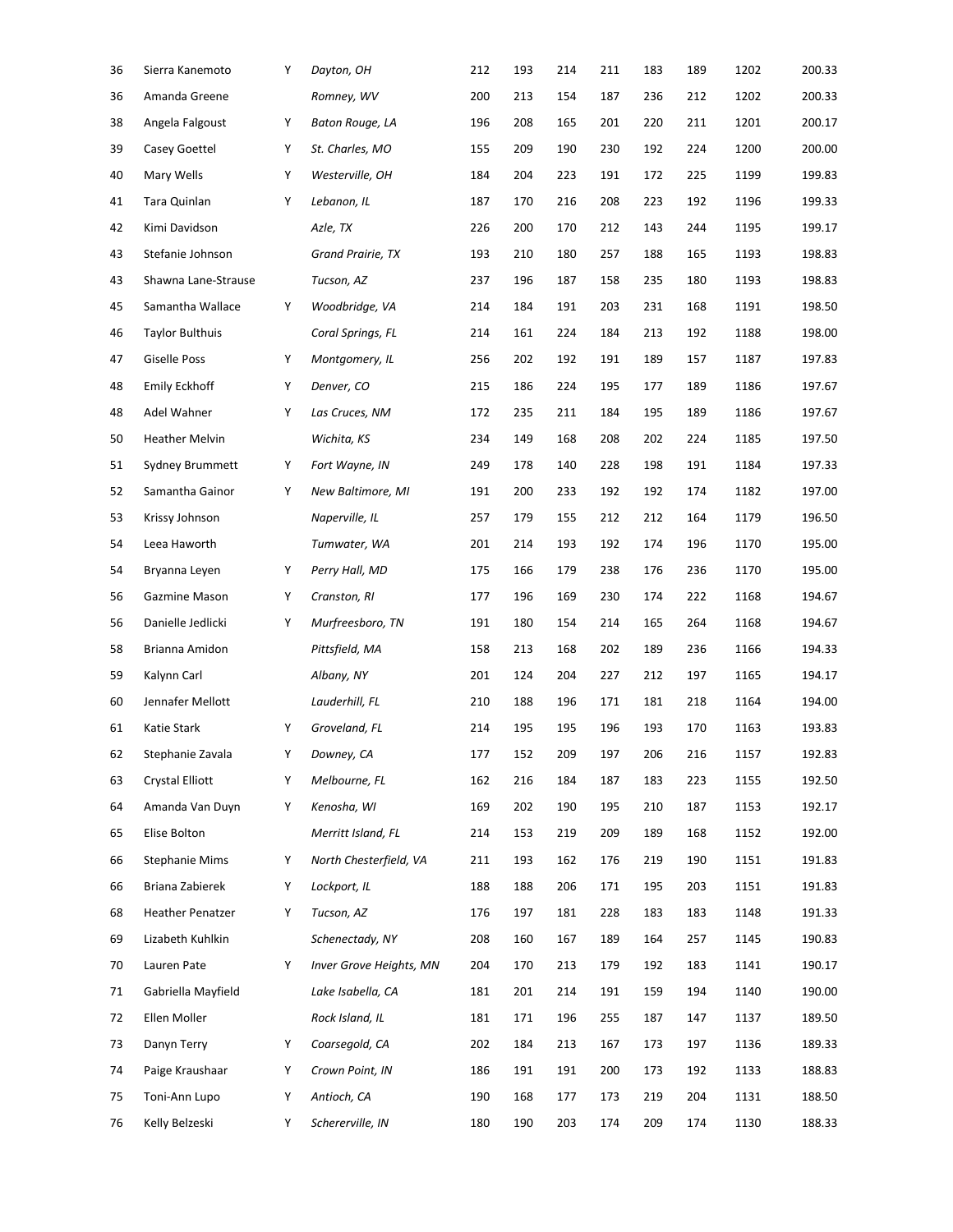| 36 | Sierra Kanemoto         | Υ | Dayton, OH              | 212 | 193 | 214 | 211 | 183 | 189 | 1202 | 200.33 |
|----|-------------------------|---|-------------------------|-----|-----|-----|-----|-----|-----|------|--------|
| 36 | Amanda Greene           |   | Romney, WV              | 200 | 213 | 154 | 187 | 236 | 212 | 1202 | 200.33 |
| 38 | Angela Falgoust         | Υ | Baton Rouge, LA         | 196 | 208 | 165 | 201 | 220 | 211 | 1201 | 200.17 |
| 39 | Casey Goettel           | Υ | St. Charles, MO         | 155 | 209 | 190 | 230 | 192 | 224 | 1200 | 200.00 |
| 40 | Mary Wells              | Υ | Westerville, OH         | 184 | 204 | 223 | 191 | 172 | 225 | 1199 | 199.83 |
| 41 | Tara Quinlan            | Υ | Lebanon, IL             | 187 | 170 | 216 | 208 | 223 | 192 | 1196 | 199.33 |
| 42 | Kimi Davidson           |   | Azle, TX                | 226 | 200 | 170 | 212 | 143 | 244 | 1195 | 199.17 |
| 43 | Stefanie Johnson        |   | Grand Prairie, TX       | 193 | 210 | 180 | 257 | 188 | 165 | 1193 | 198.83 |
| 43 | Shawna Lane-Strause     |   | Tucson, AZ              | 237 | 196 | 187 | 158 | 235 | 180 | 1193 | 198.83 |
| 45 | Samantha Wallace        | Υ | Woodbridge, VA          | 214 | 184 | 191 | 203 | 231 | 168 | 1191 | 198.50 |
| 46 | <b>Taylor Bulthuis</b>  |   | Coral Springs, FL       | 214 | 161 | 224 | 184 | 213 | 192 | 1188 | 198.00 |
| 47 | <b>Giselle Poss</b>     | Υ | Montgomery, IL          | 256 | 202 | 192 | 191 | 189 | 157 | 1187 | 197.83 |
| 48 | Emily Eckhoff           | Υ | Denver, CO              | 215 | 186 | 224 | 195 | 177 | 189 | 1186 | 197.67 |
| 48 | Adel Wahner             | Υ | Las Cruces, NM          | 172 | 235 | 211 | 184 | 195 | 189 | 1186 | 197.67 |
| 50 | <b>Heather Melvin</b>   |   | Wichita, KS             | 234 | 149 | 168 | 208 | 202 | 224 | 1185 | 197.50 |
| 51 | Sydney Brummett         | Υ | Fort Wayne, IN          | 249 | 178 | 140 | 228 | 198 | 191 | 1184 | 197.33 |
| 52 | Samantha Gainor         | Υ | New Baltimore, MI       | 191 | 200 | 233 | 192 | 192 | 174 | 1182 | 197.00 |
| 53 | Krissy Johnson          |   | Naperville, IL          | 257 | 179 | 155 | 212 | 212 | 164 | 1179 | 196.50 |
| 54 | Leea Haworth            |   | Tumwater, WA            | 201 | 214 | 193 | 192 | 174 | 196 | 1170 | 195.00 |
| 54 | Bryanna Leyen           | Υ | Perry Hall, MD          | 175 | 166 | 179 | 238 | 176 | 236 | 1170 | 195.00 |
| 56 | Gazmine Mason           | Υ | Cranston, RI            | 177 | 196 | 169 | 230 | 174 | 222 | 1168 | 194.67 |
| 56 | Danielle Jedlicki       | Υ | Murfreesboro, TN        | 191 | 180 | 154 | 214 | 165 | 264 | 1168 | 194.67 |
| 58 | Brianna Amidon          |   | Pittsfield, MA          | 158 | 213 | 168 | 202 | 189 | 236 | 1166 | 194.33 |
| 59 | Kalynn Carl             |   | Albany, NY              | 201 | 124 | 204 | 227 | 212 | 197 | 1165 | 194.17 |
| 60 | Jennafer Mellott        |   | Lauderhill, FL          | 210 | 188 | 196 | 171 | 181 | 218 | 1164 | 194.00 |
| 61 | Katie Stark             | Y | Groveland, FL           | 214 | 195 | 195 | 196 | 193 | 170 | 1163 | 193.83 |
| 62 | Stephanie Zavala        | Y | Downey, CA              | 177 | 152 | 209 | 197 | 206 | 216 | 1157 | 192.83 |
| 63 | Crystal Elliott         | Υ | Melbourne, FL           | 162 | 216 | 184 | 187 | 183 | 223 | 1155 | 192.50 |
| 64 | Amanda Van Duyn         | Υ | Kenosha, WI             | 169 | 202 | 190 | 195 | 210 | 187 | 1153 | 192.17 |
| 65 | Elise Bolton            |   | Merritt Island, FL      | 214 | 153 | 219 | 209 | 189 | 168 | 1152 | 192.00 |
| 66 | <b>Stephanie Mims</b>   | Υ | North Chesterfield, VA  | 211 | 193 | 162 | 176 | 219 | 190 | 1151 | 191.83 |
| 66 | Briana Zabierek         | Υ | Lockport, IL            | 188 | 188 | 206 | 171 | 195 | 203 | 1151 | 191.83 |
| 68 | <b>Heather Penatzer</b> | Υ | Tucson, AZ              | 176 | 197 | 181 | 228 | 183 | 183 | 1148 | 191.33 |
| 69 | Lizabeth Kuhlkin        |   | Schenectady, NY         | 208 | 160 | 167 | 189 | 164 | 257 | 1145 | 190.83 |
| 70 | Lauren Pate             | Υ | Inver Grove Heights, MN | 204 | 170 | 213 | 179 | 192 | 183 | 1141 | 190.17 |
| 71 | Gabriella Mayfield      |   | Lake Isabella, CA       | 181 | 201 | 214 | 191 | 159 | 194 | 1140 | 190.00 |
| 72 | Ellen Moller            |   | Rock Island, IL         | 181 | 171 | 196 | 255 | 187 | 147 | 1137 | 189.50 |
| 73 | Danyn Terry             | Υ | Coarsegold, CA          | 202 | 184 | 213 | 167 | 173 | 197 | 1136 | 189.33 |
| 74 | Paige Kraushaar         | Υ | Crown Point, IN         | 186 | 191 | 191 | 200 | 173 | 192 | 1133 | 188.83 |
| 75 | Toni-Ann Lupo           | Υ | Antioch, CA             | 190 | 168 | 177 | 173 | 219 | 204 | 1131 | 188.50 |
| 76 | Kelly Belzeski          | Υ | Schererville, IN        | 180 | 190 | 203 | 174 | 209 | 174 | 1130 | 188.33 |